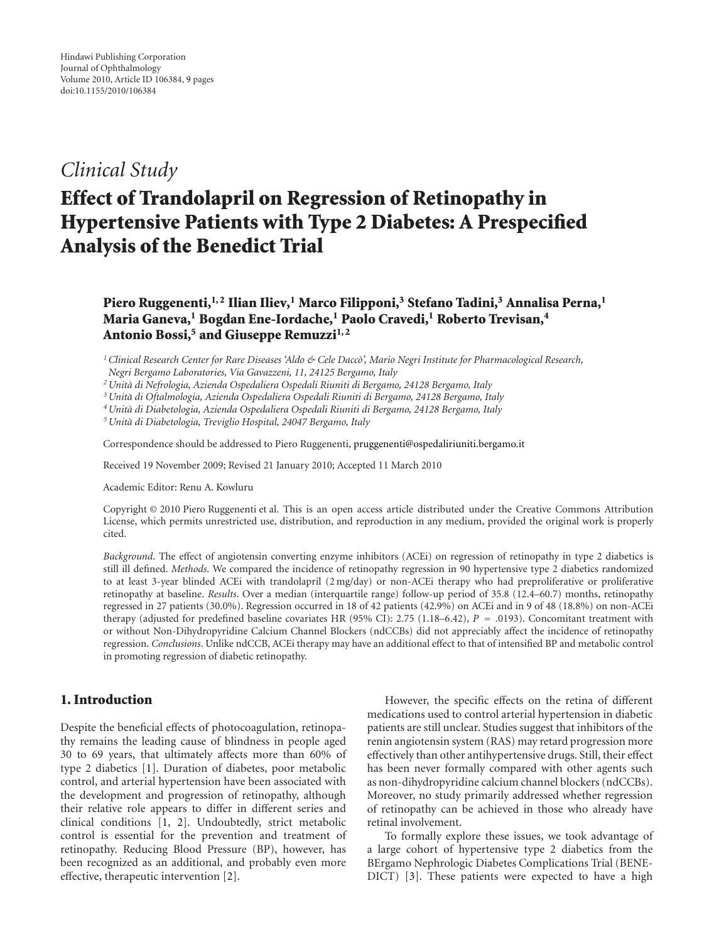## *Clinical Study*

# **Effect of Trandolapril on Regression of Retinopathy in Hypertensive Patients with Type 2 Diabetes: A Prespecified Analysis of the Benedict Trial**

### Piero Ruggenenti,<sup>1,2</sup> Ilian Iliev,<sup>1</sup> Marco Filipponi,<sup>3</sup> Stefano Tadini,<sup>3</sup> Annalisa Perna,<sup>1</sup> **Maria Ganeva,1 Bogdan Ene-Iordache,1 Paolo Cravedi,1 Roberto Trevisan,4** Antonio Bossi,<sup>5</sup> and Giuseppe Remuzzi<sup>1,2</sup>

*1Clinical Research Center for Rare Diseases 'Aldo & Cele Dacco', Mario Negri Institute for Pharmacological Research, `*

*2Unita di Nefrologia, Azienda Ospedaliera Ospedali Riuniti di Bergamo, 24128 Bergamo, Italy `*

*3Unita di Oftalmologia, Azienda Ospedaliera Ospedali Riuniti di Bergamo, 24128 Bergamo, Italy `*

*4Unita di Diabetologia, Azienda Ospedaliera Ospedali Riuniti di Bergamo, 24128 Bergamo, Italy `*

*5Unita di Diabetologia, Treviglio Hospital, 24047 Bergamo, Italy `*

Correspondence should be addressed to Piero Ruggenenti, pruggenenti@ospedaliriuniti.bergamo.it

Received 19 November 2009; Revised 21 January 2010; Accepted 11 March 2010

Academic Editor: Renu A. Kowluru

Copyright © 2010 Piero Ruggenenti et al. This is an open access article distributed under the Creative Commons Attribution License, which permits unrestricted use, distribution, and reproduction in any medium, provided the original work is properly cited.

*Background*. The effect of angiotensin converting enzyme inhibitors (ACEi) on regression of retinopathy in type 2 diabetics is still ill defined. *Methods*. We compared the incidence of retinopathy regression in 90 hypertensive type 2 diabetics randomized to at least 3-year blinded ACEi with trandolapril (2 mg/day) or non-ACEi therapy who had preproliferative or proliferative retinopathy at baseline. *Results*. Over a median (interquartile range) follow-up period of 35.8 (12.4–60.7) months, retinopathy regressed in 27 patients (30.0%). Regression occurred in 18 of 42 patients (42.9%) on ACEi and in 9 of 48 (18.8%) on non-ACEi therapy (adjusted for predefined baseline covariates HR (95% CI): 2.75 (1.18–6.42), *P* = *.*0193). Concomitant treatment with or without Non-Dihydropyridine Calcium Channel Blockers (ndCCBs) did not appreciably affect the incidence of retinopathy regression. *Conclusions*. Unlike ndCCB, ACEi therapy may have an additional effect to that of intensified BP and metabolic control in promoting regression of diabetic retinopathy.

#### **1. Introduction**

Despite the beneficial effects of photocoagulation, retinopathy remains the leading cause of blindness in people aged 30 to 69 years, that ultimately affects more than 60% of type 2 diabetics [1]. Duration of diabetes, poor metabolic control, and arterial hypertension have been associated with the development and progression of retinopathy, although their relative role appears to differ in different series and clinical conditions [1, 2]. Undoubtedly, strict metabolic control is essential for the prevention and treatment of retinopathy. Reducing Blood Pressure (BP), however, has been recognized as an additional, and probably even more effective, therapeutic intervention [2].

However, the specific effects on the retina of different medications used to control arterial hypertension in diabetic patients are still unclear. Studies suggest that inhibitors of the renin angiotensin system (RAS) may retard progression more effectively than other antihypertensive drugs. Still, their effect has been never formally compared with other agents such as non-dihydropyridine calcium channel blockers (ndCCBs). Moreover, no study primarily addressed whether regression of retinopathy can be achieved in those who already have retinal involvement.

To formally explore these issues, we took advantage of a large cohort of hypertensive type 2 diabetics from the BErgamo Nephrologic Diabetes Complications Trial (BENE-DICT) [3]. These patients were expected to have a high

*Negri Bergamo Laboratories, Via Gavazzeni, 11, 24125 Bergamo, Italy*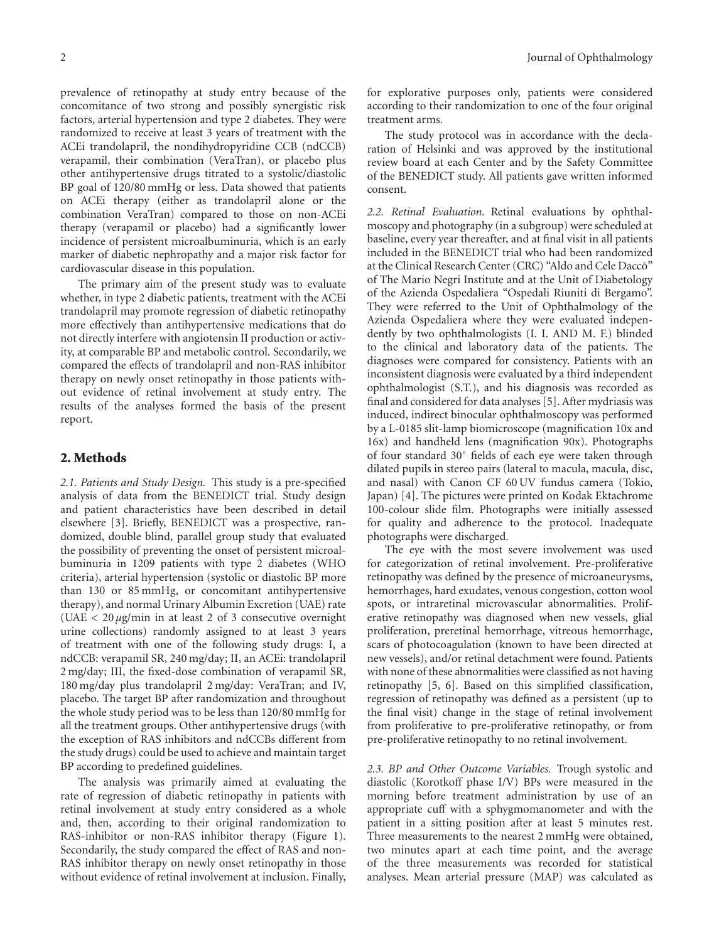prevalence of retinopathy at study entry because of the concomitance of two strong and possibly synergistic risk factors, arterial hypertension and type 2 diabetes. They were randomized to receive at least 3 years of treatment with the ACEi trandolapril, the nondihydropyridine CCB (ndCCB) verapamil, their combination (VeraTran), or placebo plus other antihypertensive drugs titrated to a systolic/diastolic BP goal of 120/80 mmHg or less. Data showed that patients on ACEi therapy (either as trandolapril alone or the combination VeraTran) compared to those on non-ACEi therapy (verapamil or placebo) had a significantly lower incidence of persistent microalbuminuria, which is an early marker of diabetic nephropathy and a major risk factor for cardiovascular disease in this population.

The primary aim of the present study was to evaluate whether, in type 2 diabetic patients, treatment with the ACEi trandolapril may promote regression of diabetic retinopathy more effectively than antihypertensive medications that do not directly interfere with angiotensin II production or activity, at comparable BP and metabolic control. Secondarily, we compared the effects of trandolapril and non-RAS inhibitor therapy on newly onset retinopathy in those patients without evidence of retinal involvement at study entry. The results of the analyses formed the basis of the present report.

#### **2. Methods**

*2.1. Patients and Study Design.* This study is a pre-specified analysis of data from the BENEDICT trial. Study design and patient characteristics have been described in detail elsewhere [3]. Briefly, BENEDICT was a prospective, randomized, double blind, parallel group study that evaluated the possibility of preventing the onset of persistent microalbuminuria in 1209 patients with type 2 diabetes (WHO criteria), arterial hypertension (systolic or diastolic BP more than 130 or 85 mmHg, or concomitant antihypertensive therapy), and normal Urinary Albumin Excretion (UAE) rate (UAE *<* 20 *μ*g/min in at least 2 of 3 consecutive overnight urine collections) randomly assigned to at least 3 years of treatment with one of the following study drugs: I, a ndCCB: verapamil SR, 240 mg/day; II, an ACEi: trandolapril 2 mg/day; III, the fixed-dose combination of verapamil SR, 180 mg/day plus trandolapril 2 mg/day: VeraTran; and IV, placebo. The target BP after randomization and throughout the whole study period was to be less than 120/80 mmHg for all the treatment groups. Other antihypertensive drugs (with the exception of RAS inhibitors and ndCCBs different from the study drugs) could be used to achieve and maintain target BP according to predefined guidelines.

The analysis was primarily aimed at evaluating the rate of regression of diabetic retinopathy in patients with retinal involvement at study entry considered as a whole and, then, according to their original randomization to RAS-inhibitor or non-RAS inhibitor therapy (Figure 1). Secondarily, the study compared the effect of RAS and non-RAS inhibitor therapy on newly onset retinopathy in those without evidence of retinal involvement at inclusion. Finally,

for explorative purposes only, patients were considered according to their randomization to one of the four original treatment arms.

The study protocol was in accordance with the declaration of Helsinki and was approved by the institutional review board at each Center and by the Safety Committee of the BENEDICT study. All patients gave written informed consent.

*2.2. Retinal Evaluation.* Retinal evaluations by ophthalmoscopy and photography (in a subgroup) were scheduled at baseline, every year thereafter, and at final visit in all patients included in the BENEDICT trial who had been randomized at the Clinical Research Center (CRC) "Aldo and Cele Dacco"` of The Mario Negri Institute and at the Unit of Diabetology of the Azienda Ospedaliera "Ospedali Riuniti di Bergamo". They were referred to the Unit of Ophthalmology of the Azienda Ospedaliera where they were evaluated independently by two ophthalmologists (I. I. AND M. F.) blinded to the clinical and laboratory data of the patients. The diagnoses were compared for consistency. Patients with an inconsistent diagnosis were evaluated by a third independent ophthalmologist (S.T.), and his diagnosis was recorded as final and considered for data analyses [5]. After mydriasis was induced, indirect binocular ophthalmoscopy was performed by a L-0185 slit-lamp biomicroscope (magnification 10x and 16x) and handheld lens (magnification 90x). Photographs of four standard 30◦ fields of each eye were taken through dilated pupils in stereo pairs (lateral to macula, macula, disc, and nasal) with Canon CF 60 UV fundus camera (Tokio, Japan) [4]. The pictures were printed on Kodak Ektachrome 100-colour slide film. Photographs were initially assessed for quality and adherence to the protocol. Inadequate photographs were discharged.

The eye with the most severe involvement was used for categorization of retinal involvement. Pre-proliferative retinopathy was defined by the presence of microaneurysms, hemorrhages, hard exudates, venous congestion, cotton wool spots, or intraretinal microvascular abnormalities. Proliferative retinopathy was diagnosed when new vessels, glial proliferation, preretinal hemorrhage, vitreous hemorrhage, scars of photocoagulation (known to have been directed at new vessels), and/or retinal detachment were found. Patients with none of these abnormalities were classified as not having retinopathy [5, 6]. Based on this simplified classification, regression of retinopathy was defined as a persistent (up to the final visit) change in the stage of retinal involvement from proliferative to pre-proliferative retinopathy, or from pre-proliferative retinopathy to no retinal involvement.

*2.3. BP and Other Outcome Variables.* Trough systolic and diastolic (Korotkoff phase I/V) BPs were measured in the morning before treatment administration by use of an appropriate cuff with a sphygmomanometer and with the patient in a sitting position after at least 5 minutes rest. Three measurements to the nearest 2 mmHg were obtained, two minutes apart at each time point, and the average of the three measurements was recorded for statistical analyses. Mean arterial pressure (MAP) was calculated as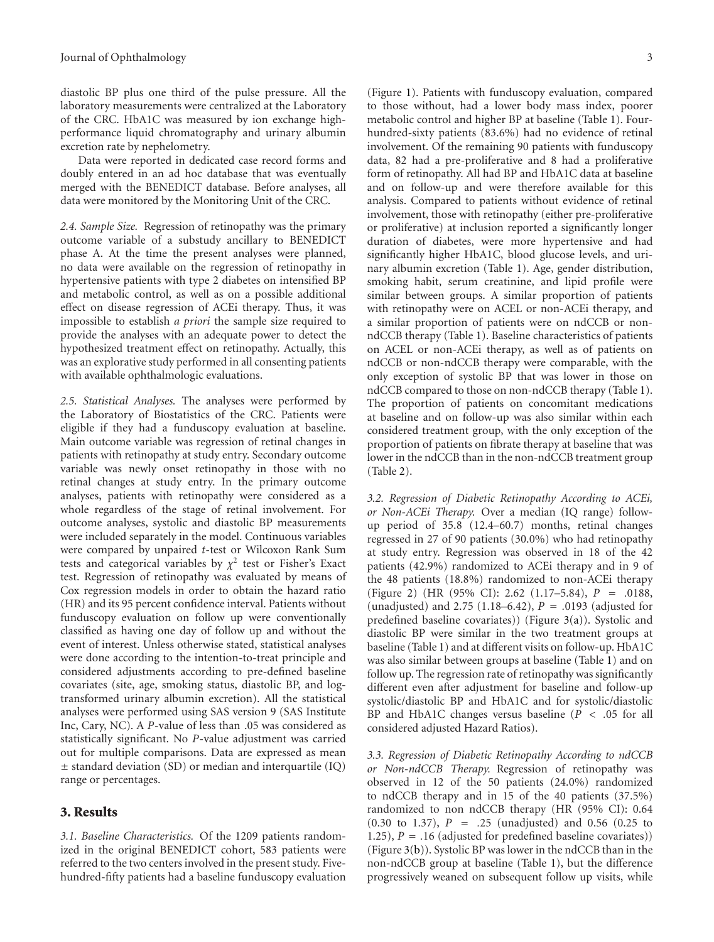diastolic BP plus one third of the pulse pressure. All the laboratory measurements were centralized at the Laboratory of the CRC. HbA1C was measured by ion exchange highperformance liquid chromatography and urinary albumin excretion rate by nephelometry.

Data were reported in dedicated case record forms and doubly entered in an ad hoc database that was eventually merged with the BENEDICT database. Before analyses, all data were monitored by the Monitoring Unit of the CRC.

*2.4. Sample Size.* Regression of retinopathy was the primary outcome variable of a substudy ancillary to BENEDICT phase A. At the time the present analyses were planned, no data were available on the regression of retinopathy in hypertensive patients with type 2 diabetes on intensified BP and metabolic control, as well as on a possible additional effect on disease regression of ACEi therapy. Thus, it was impossible to establish *a priori* the sample size required to provide the analyses with an adequate power to detect the hypothesized treatment effect on retinopathy. Actually, this was an explorative study performed in all consenting patients with available ophthalmologic evaluations.

*2.5. Statistical Analyses.* The analyses were performed by the Laboratory of Biostatistics of the CRC. Patients were eligible if they had a funduscopy evaluation at baseline. Main outcome variable was regression of retinal changes in patients with retinopathy at study entry. Secondary outcome variable was newly onset retinopathy in those with no retinal changes at study entry. In the primary outcome analyses, patients with retinopathy were considered as a whole regardless of the stage of retinal involvement. For outcome analyses, systolic and diastolic BP measurements were included separately in the model. Continuous variables were compared by unpaired *t*-test or Wilcoxon Rank Sum tests and categorical variables by  $\chi^2$  test or Fisher's Exact test. Regression of retinopathy was evaluated by means of Cox regression models in order to obtain the hazard ratio (HR) and its 95 percent confidence interval. Patients without funduscopy evaluation on follow up were conventionally classified as having one day of follow up and without the event of interest. Unless otherwise stated, statistical analyses were done according to the intention-to-treat principle and considered adjustments according to pre-defined baseline covariates (site, age, smoking status, diastolic BP, and logtransformed urinary albumin excretion). All the statistical analyses were performed using SAS version 9 (SAS Institute Inc, Cary, NC). A *P*-value of less than .05 was considered as statistically significant. No *P*-value adjustment was carried out for multiple comparisons. Data are expressed as mean ± standard deviation (SD) or median and interquartile (IQ) range or percentages.

#### **3. Results**

*3.1. Baseline Characteristics.* Of the 1209 patients randomized in the original BENEDICT cohort, 583 patients were referred to the two centers involved in the present study. Fivehundred-fifty patients had a baseline funduscopy evaluation

(Figure 1). Patients with funduscopy evaluation, compared to those without, had a lower body mass index, poorer metabolic control and higher BP at baseline (Table 1). Fourhundred-sixty patients (83.6%) had no evidence of retinal involvement. Of the remaining 90 patients with funduscopy data, 82 had a pre-proliferative and 8 had a proliferative form of retinopathy. All had BP and HbA1C data at baseline and on follow-up and were therefore available for this analysis. Compared to patients without evidence of retinal involvement, those with retinopathy (either pre-proliferative or proliferative) at inclusion reported a significantly longer duration of diabetes, were more hypertensive and had significantly higher HbA1C, blood glucose levels, and urinary albumin excretion (Table 1). Age, gender distribution, smoking habit, serum creatinine, and lipid profile were similar between groups. A similar proportion of patients with retinopathy were on ACEL or non-ACEi therapy, and a similar proportion of patients were on ndCCB or nonndCCB therapy (Table 1). Baseline characteristics of patients on ACEL or non-ACEi therapy, as well as of patients on ndCCB or non-ndCCB therapy were comparable, with the only exception of systolic BP that was lower in those on ndCCB compared to those on non-ndCCB therapy (Table 1). The proportion of patients on concomitant medications at baseline and on follow-up was also similar within each considered treatment group, with the only exception of the proportion of patients on fibrate therapy at baseline that was lower in the ndCCB than in the non-ndCCB treatment group (Table 2).

*3.2. Regression of Diabetic Retinopathy According to ACEi, or Non-ACEi Therapy.* Over a median (IQ range) followup period of 35.8 (12.4–60.7) months, retinal changes regressed in 27 of 90 patients (30.0%) who had retinopathy at study entry. Regression was observed in 18 of the 42 patients (42.9%) randomized to ACEi therapy and in 9 of the 48 patients (18.8%) randomized to non-ACEi therapy (Figure 2) (HR (95% CI): 2.62 (1.17–5.84), *P* = *.*0188, (unadjusted) and 2.75 (1.18–6.42), *P* = *.*0193 (adjusted for predefined baseline covariates)) (Figure 3(a)). Systolic and diastolic BP were similar in the two treatment groups at baseline (Table 1) and at different visits on follow-up. HbA1C was also similar between groups at baseline (Table 1) and on follow up. The regression rate of retinopathy was significantly different even after adjustment for baseline and follow-up systolic/diastolic BP and HbA1C and for systolic/diastolic BP and HbA1C changes versus baseline  $(P \le 0.05$  for all considered adjusted Hazard Ratios).

*3.3. Regression of Diabetic Retinopathy According to ndCCB or Non-ndCCB Therapy.* Regression of retinopathy was observed in 12 of the 50 patients (24.0%) randomized to ndCCB therapy and in 15 of the 40 patients (37.5%) randomized to non ndCCB therapy (HR (95% CI): 0.64 (0.30 to 1.37), *P* = *.*25 (unadjusted) and 0.56 (0.25 to 1.25),  $P = .16$  (adjusted for predefined baseline covariates)) (Figure 3(b)). Systolic BP was lower in the ndCCB than in the non-ndCCB group at baseline (Table 1), but the difference progressively weaned on subsequent follow up visits, while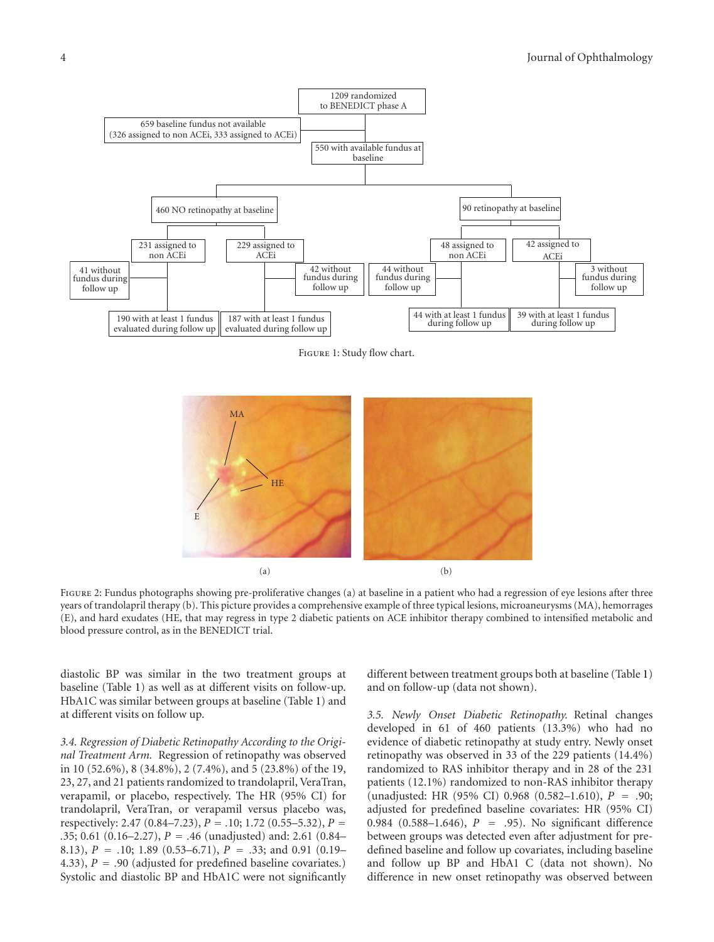

Figure 1: Study flow chart.



FIGURE 2: Fundus photographs showing pre-proliferative changes (a) at baseline in a patient who had a regression of eye lesions after three years of trandolapril therapy (b). This picture provides a comprehensive example of three typical lesions, microaneurysms (MA), hemorrages (E), and hard exudates (HE, that may regress in type 2 diabetic patients on ACE inhibitor therapy combined to intensified metabolic and blood pressure control, as in the BENEDICT trial.

diastolic BP was similar in the two treatment groups at baseline (Table 1) as well as at different visits on follow-up. HbA1C was similar between groups at baseline (Table 1) and at different visits on follow up.

*3.4. Regression of Diabetic Retinopathy According to the Original Treatment Arm.* Regression of retinopathy was observed in 10 (52.6%), 8 (34.8%), 2 (7.4%), and 5 (23.8%) of the 19, 23, 27, and 21 patients randomized to trandolapril, VeraTran, verapamil, or placebo, respectively. The HR (95% CI) for trandolapril, VeraTran, or verapamil versus placebo was, respectively: 2.47 (0.84–7.23), *P* = *.*10; 1.72 (0.55–5.32), *P* = *.*35; 0.61 (0.16–2.27), *P* = *.*46 (unadjusted) and: 2.61 (0.84– 8.13), *P* = *.*10; 1.89 (0.53–6.71), *P* = *.*33; and 0.91 (0.19– 4.33), *P* = *.*90 (adjusted for predefined baseline covariates.) Systolic and diastolic BP and HbA1C were not significantly different between treatment groups both at baseline (Table 1) and on follow-up (data not shown).

*3.5. Newly Onset Diabetic Retinopathy.* Retinal changes developed in 61 of 460 patients (13.3%) who had no evidence of diabetic retinopathy at study entry. Newly onset retinopathy was observed in 33 of the 229 patients (14.4%) randomized to RAS inhibitor therapy and in 28 of the 231 patients (12.1%) randomized to non-RAS inhibitor therapy (unadjusted: HR (95% CI) 0.968 (0.582–1.610), *P* = *.*90; adjusted for predefined baseline covariates: HR (95% CI) 0.984 (0.588–1.646), *P* = *.*95). No significant difference between groups was detected even after adjustment for predefined baseline and follow up covariates, including baseline and follow up BP and HbA1 C (data not shown). No difference in new onset retinopathy was observed between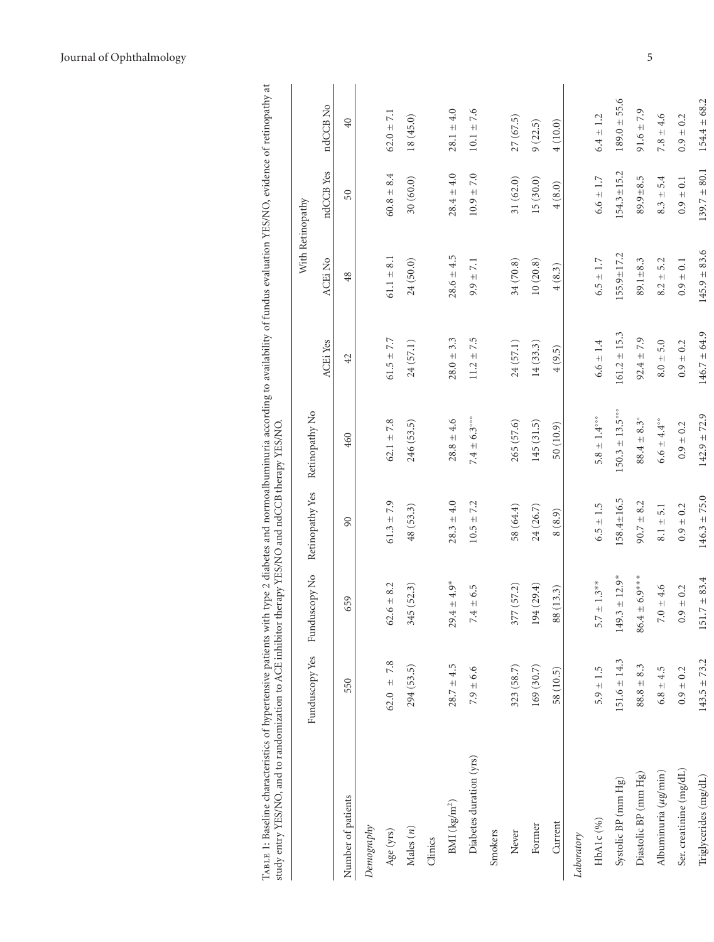| study entry YES/NO, and to randomization to ACE inhibitor therapy YES/NO and ndCCB therapy YES/NO. |                  |                       |                  |                                    |                  |                  |                  |                  |
|----------------------------------------------------------------------------------------------------|------------------|-----------------------|------------------|------------------------------------|------------------|------------------|------------------|------------------|
|                                                                                                    | Funduscopy Yes   | Funduscopy No         | Retinopathy Yes  | Retinopathy No                     |                  | With Retinopathy |                  |                  |
|                                                                                                    |                  |                       |                  |                                    | ACEi Yes         | ACEi No          | ndCCB Yes        | ndCCB No         |
| Number of patients                                                                                 | 550              | 659                   | 90               | 460                                | 42               | 48               | 50               | 40               |
| Demography                                                                                         |                  |                       |                  |                                    |                  |                  |                  |                  |
| Age $(\gamma \mathrm{rs})$                                                                         | $62.0 = 7.8$     | $62.6 \pm 8.2$        | $61.3 \pm 7.9$   | $62.1 \pm 7.8$                     | $61.5 \pm 7.7$   | $61.1 + 8.1$     | $60.8 + 8.4$     | $62.0 \pm 7.1$   |
| Males $\left( n\right)$                                                                            | 294 (53.5)       | 345 (52.3)            | 48 (53.3)        | 246 (53.5)                         | 24 (57.1)        | 24 (50.0)        | 30(60.0)         | 18 (45.0)        |
| Clinics                                                                                            |                  |                       |                  |                                    |                  |                  |                  |                  |
| BMI ( $\text{kg/m}^2$ )                                                                            | $28.7 \pm 4.5$   | $29.4 \pm 4.9*$       | $28.3 \pm 4.0$   | $28.8 \pm 4.6$                     | $28.0 \pm 3.3$   | $28.6 \pm 4.5$   | $28.4 \pm 4.0$   | $28.1 \pm 4.0$   |
| Diabetes duration (yrs)                                                                            | $7.9 \pm 6.6$    | $7.4 \pm 6.5$         | $10.5 \pm 7.2$   | 7.4 $\pm$ 6.3 $^{\circ\circ\circ}$ | $11.2 \pm 7.5$   | $9.9 \pm 7.1$    | $10.9 \pm 7.0$   | $10.1 \pm 7.6$   |
| Smokers                                                                                            |                  |                       |                  |                                    |                  |                  |                  |                  |
| Never                                                                                              | 323 (58.7)       | 377 (57.2)            | 58 (64.4)        | 265 (57.6)                         | 24 (57.1)        | 34 (70.8)        | 31(62.0)         | 27(67.5)         |
| Former                                                                                             | 169 (30.7)       | 194 (29.4)            | 24 (26.7)        | 145 (31.5)                         | 14(33.3)         | 10(20.8)         | 15(30.0)         | 9(22.5)          |
| Current                                                                                            | 58 (10.5)        | (13.3)<br>88          | 8(8.9)           | 50(10.9)                           | 4(9.5)           | 4(8.3)           | 4(8.0)           | 4(10.0)          |
| Laboratory                                                                                         |                  |                       |                  |                                    |                  |                  |                  |                  |
| HbA1c(%)                                                                                           | $5.9 \pm 1.5$    | $+1.3**$<br>5.7       | $6.5 \pm 1.5$    | $5.8 \pm 1.4^{\circ}$              | $6.6 \pm 1.4$    | $6.5 \pm 1.7$    | $6.6 \pm 1.7$    | $6.4 \pm 1.2$    |
| Systolic BP (mm Hg)                                                                                | $151.6 \pm 14.3$ | $149.3 \pm 12.9^*$    | $158.4 \pm 16.5$ | $150.3 \pm 13.5^{\circ}$           | $161.2 \pm 15.3$ | $155.9 \pm 17.2$ | $154.3 \pm 15.2$ | $189.0 \pm 55.6$ |
| Diastolic BP (mm Hg)                                                                               | $88.8 \pm 8.3$   | $+ 6.9***$<br>86.4    | $90.7 \pm 8.2$   | $88.4 \pm 8.3^{\circ}$             | $92.4 \pm 7.9$   | $89.1 \pm 8.3$   | 89.9 ± 8.5       | $91.6 \pm 7.9$   |
| Albuminuria ( $\mu$ g/min)                                                                         | $6.8 \pm 4.5$    | $7.0 \pm 4.6$         | $8.1 \pm 5.1$    | $6.6 \pm 4.4^{\circ}$              | $8.0 + 5.0$      | $8.2 + 5.2$      | $8.3 + 5.4$      | $7.8 \pm 4.6$    |
| Ser. creatinine (mg/dL)                                                                            | $0.9 \pm 0.2$    | $0.9 \pm 0.2$         | $0.9 \pm 0.2$    | $0.9 \pm 0.2$                      | $0.9 \pm 0.2$    | $0.9 \pm 0.1$    | $0.9 \pm 0.1$    | $0.9 \pm 0.2$    |
| Triglycerides (mg/dL)                                                                              | $143.5 + 73.2$   | $.7 \pm 83.4$<br>151. | $146.3 \pm 75.0$ | $142.9 \pm 72.9$                   | $146.7 \pm 64.9$ | $145.9 \pm 83.6$ | $139.7 \pm 80.1$ | $154.4 \pm 68.2$ |

5

Journal of Ophthalmology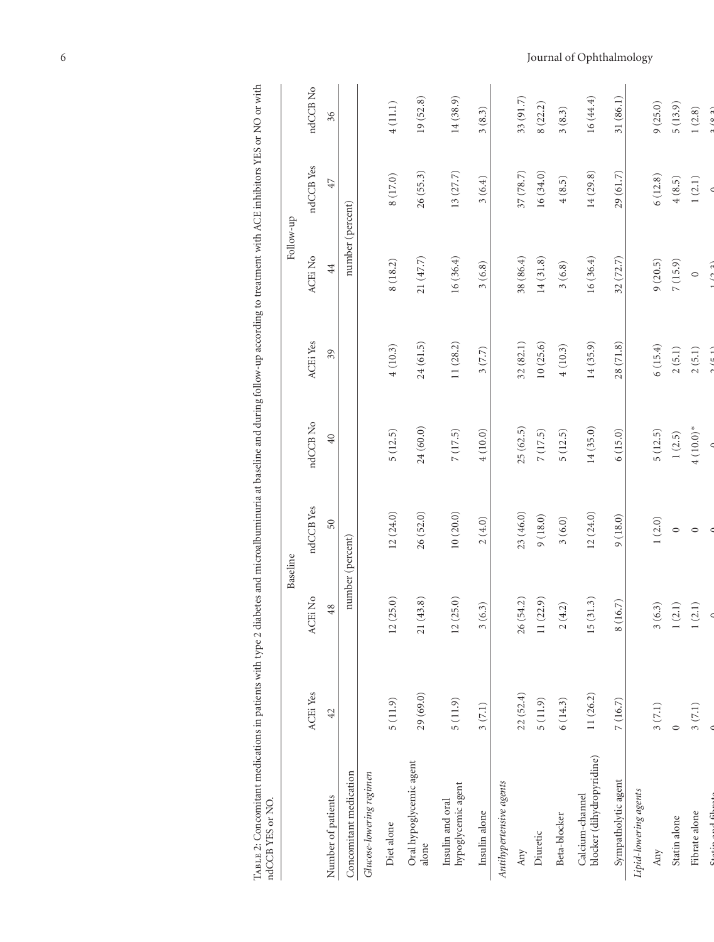| TABLE 2: Concomitant medications in patients with type 2 diabetes and microalbuminuria at baseline and during follow-up according to treatment with ACE inhibitors YES or NO or with<br>ndCCB YES or NO. |          |           |                  |            |                    |                  |           |           |
|----------------------------------------------------------------------------------------------------------------------------------------------------------------------------------------------------------|----------|-----------|------------------|------------|--------------------|------------------|-----------|-----------|
|                                                                                                                                                                                                          |          |           | Baseline         |            |                    | Follow-up        |           |           |
|                                                                                                                                                                                                          | ACEi Yes | ACEi No   | ndCCB Yes        | ndCCB No   | ACEi Yes           | ACEi No          | ndCCB Yes | ndCCB No  |
| Number of patients                                                                                                                                                                                       | 42       | 48        | 50               | 40         | 39                 | 44               | 47        | 36        |
| Concomitant medication                                                                                                                                                                                   |          |           | number (percent) |            |                    | number (percent) |           |           |
| Glucose-lowering regimen                                                                                                                                                                                 |          |           |                  |            |                    |                  |           |           |
| Diet alone                                                                                                                                                                                               | 5(11.9)  | 12(25.0)  | 12(24.0)         | 5(12.5)    | 4(10.3)            | 8(18.2)          | 8(17.0)   | 4(11.1)   |
| Oral hypoglycemic agent<br>alone                                                                                                                                                                         | 29(69.0) | 21(43.8)  | 26 (52.0)        | 24 (60.0)  | 24(61.5)           | 21(47.7)         | 26(55.3)  | 19(52.8)  |
| hypoglycemic agent<br>Insulin and oral                                                                                                                                                                   | 5(11.9)  | 12(25.0)  | 10(20.0)         | 7(17.5)    | 11(28.2)           | 16(36.4)         | 13(27.7)  | 14(38.9)  |
| Insulin alone                                                                                                                                                                                            | 3(7.1)   | 3(6.3)    | 2(4.0)           | 4(10.0)    | 3(7.7)             | 3(6.8)           | 3(6.4)    | 3(8.3)    |
| Antihypertensive agents                                                                                                                                                                                  |          |           |                  |            |                    |                  |           |           |
| Any                                                                                                                                                                                                      | 22(52.4) | 26 (54.2) | 23(46.0)         | 25(62.5)   | 32(82.1)           | 38 (86.4)        | 37 (78.7) | 33 (91.7) |
| Diuretic                                                                                                                                                                                                 | 5(11.9)  | 11(22.9)  | 9(18.0)          | 7(17.5)    | 10(25.6)           | 14(31.8)         | 16(34.0)  | 8(22.2)   |
| Beta-blocker                                                                                                                                                                                             | 6(14.3)  | 2(4.2)    | 3(6.0)           | 5(12.5)    | 4(10.3)            | 3(6.8)           | 4(8.5)    | 3(8.3)    |
| blocker (dihydropyridine)<br>Calcium-channel                                                                                                                                                             | 11(26.2) | 15(31.3)  | 12(24.0)         | 14(35.0)   | 14(35.9)           | 16(36.4)         | 14 (29.8) | 16(44.4)  |
| Sympatholytic agent                                                                                                                                                                                      | 7(16.7)  | 8(16.7)   | 9(18.0)          | 6(15.0)    | 28(71.8)           | 32(72.7)         | 29 (61.7) | 31 (86.1) |
| Lipid-lowering agents                                                                                                                                                                                    |          |           |                  |            |                    |                  |           |           |
| Any                                                                                                                                                                                                      | 3(7.1)   | 3(6.3)    | 1(2.0)           | 5(12.5)    | 6(15.4)            | 9(20.5)          | 6(12.8)   | 9(25.0)   |
| Statin alone                                                                                                                                                                                             | $\circ$  | 1(2.1)    | $\circ$          | 1(2.5)     | 2(5.1)             | 7(15.9)          | 4(8.5)    | 5(13.9)   |
| Fibrate alone                                                                                                                                                                                            | 3(7.1)   | 1(2.1)    | $\circ$          | $4(10.0)*$ | 2(5.1)             | $\circ$          | 1(2.1)    | 1(2.8)    |
|                                                                                                                                                                                                          |          |           |                  |            | $\gamma$ $(5 - 1)$ | (2)              |           | 2(0.2)    |

6 Journal of Ophthalmology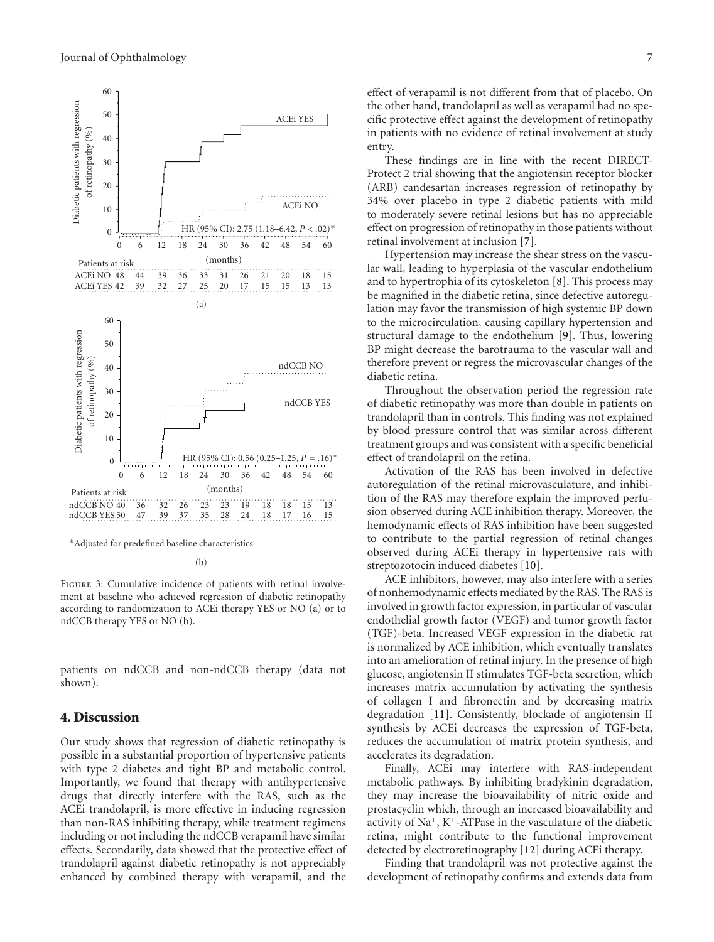

<sup>∗</sup>Adjusted for predefined baseline characteristics

(b)

Figure 3: Cumulative incidence of patients with retinal involvement at baseline who achieved regression of diabetic retinopathy according to randomization to ACEi therapy YES or NO (a) or to ndCCB therapy YES or NO (b).

patients on ndCCB and non-ndCCB therapy (data not shown).

#### **4. Discussion**

Our study shows that regression of diabetic retinopathy is possible in a substantial proportion of hypertensive patients with type 2 diabetes and tight BP and metabolic control. Importantly, we found that therapy with antihypertensive drugs that directly interfere with the RAS, such as the ACEi trandolapril, is more effective in inducing regression than non-RAS inhibiting therapy, while treatment regimens including or not including the ndCCB verapamil have similar effects. Secondarily, data showed that the protective effect of trandolapril against diabetic retinopathy is not appreciably enhanced by combined therapy with verapamil, and the effect of verapamil is not different from that of placebo. On the other hand, trandolapril as well as verapamil had no specific protective effect against the development of retinopathy in patients with no evidence of retinal involvement at study entry.

These findings are in line with the recent DIRECT-Protect 2 trial showing that the angiotensin receptor blocker (ARB) candesartan increases regression of retinopathy by 34% over placebo in type 2 diabetic patients with mild to moderately severe retinal lesions but has no appreciable effect on progression of retinopathy in those patients without retinal involvement at inclusion [7].

Hypertension may increase the shear stress on the vascular wall, leading to hyperplasia of the vascular endothelium and to hypertrophia of its cytoskeleton [8]. This process may be magnified in the diabetic retina, since defective autoregulation may favor the transmission of high systemic BP down to the microcirculation, causing capillary hypertension and structural damage to the endothelium [9]. Thus, lowering BP might decrease the barotrauma to the vascular wall and therefore prevent or regress the microvascular changes of the diabetic retina.

Throughout the observation period the regression rate of diabetic retinopathy was more than double in patients on trandolapril than in controls. This finding was not explained by blood pressure control that was similar across different treatment groups and was consistent with a specific beneficial effect of trandolapril on the retina.

Activation of the RAS has been involved in defective autoregulation of the retinal microvasculature, and inhibition of the RAS may therefore explain the improved perfusion observed during ACE inhibition therapy. Moreover, the hemodynamic effects of RAS inhibition have been suggested to contribute to the partial regression of retinal changes observed during ACEi therapy in hypertensive rats with streptozotocin induced diabetes [10].

ACE inhibitors, however, may also interfere with a series of nonhemodynamic effects mediated by the RAS. The RAS is involved in growth factor expression, in particular of vascular endothelial growth factor (VEGF) and tumor growth factor (TGF)-beta. Increased VEGF expression in the diabetic rat is normalized by ACE inhibition, which eventually translates into an amelioration of retinal injury. In the presence of high glucose, angiotensin II stimulates TGF-beta secretion, which increases matrix accumulation by activating the synthesis of collagen I and fibronectin and by decreasing matrix degradation [11]. Consistently, blockade of angiotensin II synthesis by ACEi decreases the expression of TGF-beta, reduces the accumulation of matrix protein synthesis, and accelerates its degradation.

Finally, ACEi may interfere with RAS-independent metabolic pathways. By inhibiting bradykinin degradation, they may increase the bioavailability of nitric oxide and prostacyclin which, through an increased bioavailability and activity of  $Na^+$ ,  $K^+$ -ATPase in the vasculature of the diabetic retina, might contribute to the functional improvement detected by electroretinography [12] during ACEi therapy.

Finding that trandolapril was not protective against the development of retinopathy confirms and extends data from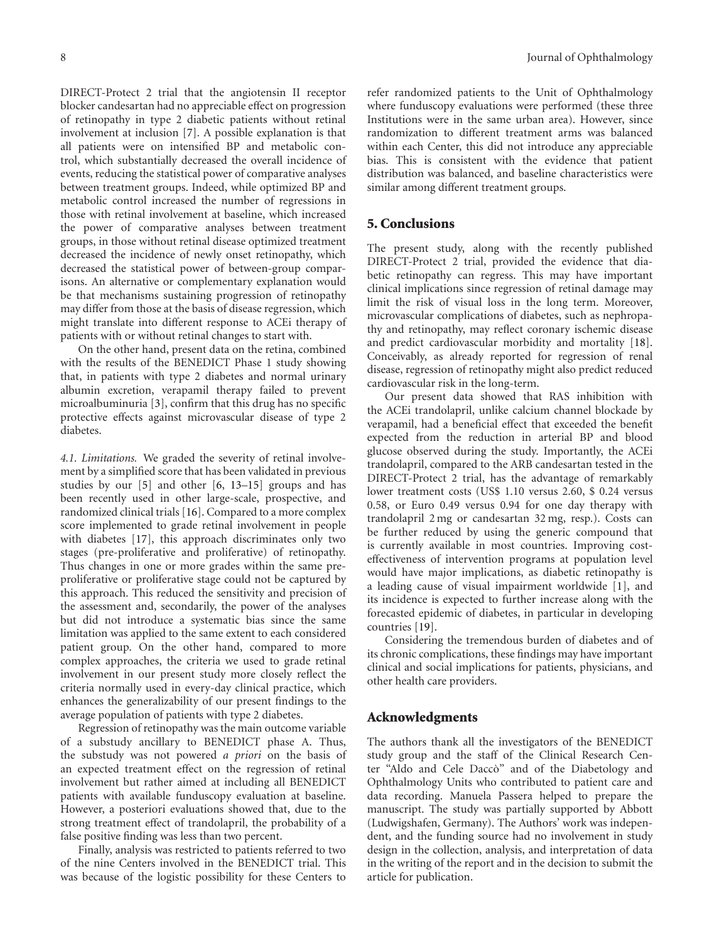DIRECT-Protect 2 trial that the angiotensin II receptor blocker candesartan had no appreciable effect on progression of retinopathy in type 2 diabetic patients without retinal involvement at inclusion [7]. A possible explanation is that all patients were on intensified BP and metabolic control, which substantially decreased the overall incidence of events, reducing the statistical power of comparative analyses between treatment groups. Indeed, while optimized BP and metabolic control increased the number of regressions in those with retinal involvement at baseline, which increased the power of comparative analyses between treatment groups, in those without retinal disease optimized treatment decreased the incidence of newly onset retinopathy, which decreased the statistical power of between-group comparisons. An alternative or complementary explanation would be that mechanisms sustaining progression of retinopathy may differ from those at the basis of disease regression, which might translate into different response to ACEi therapy of patients with or without retinal changes to start with.

On the other hand, present data on the retina, combined with the results of the BENEDICT Phase 1 study showing that, in patients with type 2 diabetes and normal urinary albumin excretion, verapamil therapy failed to prevent microalbuminuria [3], confirm that this drug has no specific protective effects against microvascular disease of type 2 diabetes.

*4.1. Limitations.* We graded the severity of retinal involvement by a simplified score that has been validated in previous studies by our [5] and other [6, 13–15] groups and has been recently used in other large-scale, prospective, and randomized clinical trials [16]. Compared to a more complex score implemented to grade retinal involvement in people with diabetes [17], this approach discriminates only two stages (pre-proliferative and proliferative) of retinopathy. Thus changes in one or more grades within the same preproliferative or proliferative stage could not be captured by this approach. This reduced the sensitivity and precision of the assessment and, secondarily, the power of the analyses but did not introduce a systematic bias since the same limitation was applied to the same extent to each considered patient group. On the other hand, compared to more complex approaches, the criteria we used to grade retinal involvement in our present study more closely reflect the criteria normally used in every-day clinical practice, which enhances the generalizability of our present findings to the average population of patients with type 2 diabetes.

Regression of retinopathy was the main outcome variable of a substudy ancillary to BENEDICT phase A. Thus, the substudy was not powered *a priori* on the basis of an expected treatment effect on the regression of retinal involvement but rather aimed at including all BENEDICT patients with available funduscopy evaluation at baseline. However, a posteriori evaluations showed that, due to the strong treatment effect of trandolapril, the probability of a false positive finding was less than two percent.

Finally, analysis was restricted to patients referred to two of the nine Centers involved in the BENEDICT trial. This was because of the logistic possibility for these Centers to

refer randomized patients to the Unit of Ophthalmology where funduscopy evaluations were performed (these three Institutions were in the same urban area). However, since randomization to different treatment arms was balanced within each Center, this did not introduce any appreciable bias. This is consistent with the evidence that patient distribution was balanced, and baseline characteristics were similar among different treatment groups.

#### **5. Conclusions**

The present study, along with the recently published DIRECT-Protect 2 trial, provided the evidence that diabetic retinopathy can regress. This may have important clinical implications since regression of retinal damage may limit the risk of visual loss in the long term. Moreover, microvascular complications of diabetes, such as nephropathy and retinopathy, may reflect coronary ischemic disease and predict cardiovascular morbidity and mortality [18]. Conceivably, as already reported for regression of renal disease, regression of retinopathy might also predict reduced cardiovascular risk in the long-term.

Our present data showed that RAS inhibition with the ACEi trandolapril, unlike calcium channel blockade by verapamil, had a beneficial effect that exceeded the benefit expected from the reduction in arterial BP and blood glucose observed during the study. Importantly, the ACEi trandolapril, compared to the ARB candesartan tested in the DIRECT-Protect 2 trial, has the advantage of remarkably lower treatment costs (US\$ 1.10 versus 2.60, \$ 0.24 versus 0.58, or Euro 0.49 versus 0.94 for one day therapy with trandolapril 2 mg or candesartan 32 mg, resp.). Costs can be further reduced by using the generic compound that is currently available in most countries. Improving costeffectiveness of intervention programs at population level would have major implications, as diabetic retinopathy is a leading cause of visual impairment worldwide [1], and its incidence is expected to further increase along with the forecasted epidemic of diabetes, in particular in developing countries [19].

Considering the tremendous burden of diabetes and of its chronic complications, these findings may have important clinical and social implications for patients, physicians, and other health care providers.

#### **Acknowledgments**

The authors thank all the investigators of the BENEDICT study group and the staff of the Clinical Research Center "Aldo and Cele Daccò" and of the Diabetology and Ophthalmology Units who contributed to patient care and data recording. Manuela Passera helped to prepare the manuscript. The study was partially supported by Abbott (Ludwigshafen, Germany). The Authors' work was independent, and the funding source had no involvement in study design in the collection, analysis, and interpretation of data in the writing of the report and in the decision to submit the article for publication.